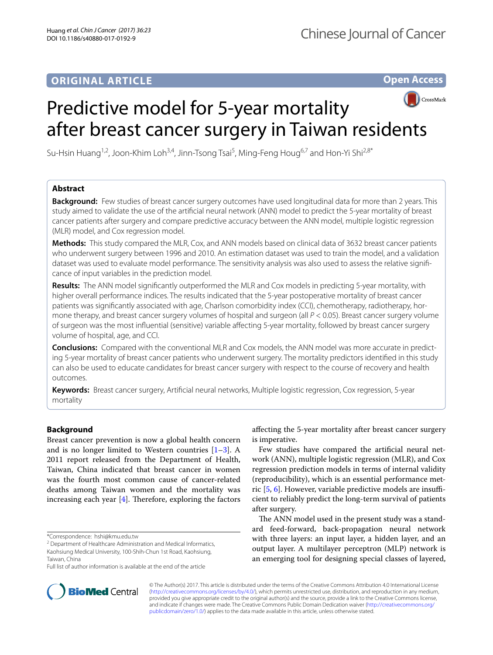## **ORIGINAL ARTICLE**

**Open Access**



# Predictive model for 5-year mortality after breast cancer surgery in Taiwan residents

Su-Hsin Huang<sup>1,2</sup>, Joon-Khim Loh<sup>3,4</sup>, Jinn-Tsong Tsai<sup>5</sup>, Ming-Feng Houg<sup>6,7</sup> and Hon-Yi Shi<sup>2,8\*</sup>

## **Abstract**

**Background:** Few studies of breast cancer surgery outcomes have used longitudinal data for more than 2 years. This study aimed to validate the use of the artificial neural network (ANN) model to predict the 5-year mortality of breast cancer patients after surgery and compare predictive accuracy between the ANN model, multiple logistic regression (MLR) model, and Cox regression model.

**Methods:** This study compared the MLR, Cox, and ANN models based on clinical data of 3632 breast cancer patients who underwent surgery between 1996 and 2010. An estimation dataset was used to train the model, and a validation dataset was used to evaluate model performance. The sensitivity analysis was also used to assess the relative signifi‑ cance of input variables in the prediction model.

**Results:** The ANN model significantly outperformed the MLR and Cox models in predicting 5-year mortality, with higher overall performance indices. The results indicated that the 5-year postoperative mortality of breast cancer patients was significantly associated with age, Charlson comorbidity index (CCI), chemotherapy, radiotherapy, hormone therapy, and breast cancer surgery volumes of hospital and surgeon (all  $P < 0.05$ ). Breast cancer surgery volume of surgeon was the most influential (sensitive) variable affecting 5-year mortality, followed by breast cancer surgery volume of hospital, age, and CCI.

**Conclusions:** Compared with the conventional MLR and Cox models, the ANN model was more accurate in predict‑ ing 5-year mortality of breast cancer patients who underwent surgery. The mortality predictors identified in this study can also be used to educate candidates for breast cancer surgery with respect to the course of recovery and health outcomes.

**Keywords:** Breast cancer surgery, Artificial neural networks, Multiple logistic regression, Cox regression, 5-year mortality

## **Background**

Breast cancer prevention is now a global health concern and is no longer limited to Western countries  $[1-3]$  $[1-3]$  $[1-3]$ . A 2011 report released from the Department of Health, Taiwan, China indicated that breast cancer in women was the fourth most common cause of cancer-related deaths among Taiwan women and the mortality was increasing each year [[4\]](#page-7-2). Therefore, exploring the factors



Few studies have compared the artificial neural network (ANN), multiple logistic regression (MLR), and Cox regression prediction models in terms of internal validity (reproducibility), which is an essential performance metric [\[5](#page-7-3), [6\]](#page-7-4). However, variable predictive models are insufficient to reliably predict the long-term survival of patients after surgery.

The ANN model used in the present study was a standard feed-forward, back-propagation neural network with three layers: an input layer, a hidden layer, and an output layer. A multilayer perceptron (MLP) network is an emerging tool for designing special classes of layered,



© The Author(s) 2017. This article is distributed under the terms of the Creative Commons Attribution 4.0 International License [\(http://creativecommons.org/licenses/by/4.0/\)](http://creativecommons.org/licenses/by/4.0/), which permits unrestricted use, distribution, and reproduction in any medium, provided you give appropriate credit to the original author(s) and the source, provide a link to the Creative Commons license, and indicate if changes were made. The Creative Commons Public Domain Dedication waiver ([http://creativecommons.org/](http://creativecommons.org/publicdomain/zero/1.0/) [publicdomain/zero/1.0/](http://creativecommons.org/publicdomain/zero/1.0/)) applies to the data made available in this article, unless otherwise stated.

<sup>\*</sup>Correspondence: hshi@kmu.edu.tw

<sup>&</sup>lt;sup>2</sup> Department of Healthcare Administration and Medical Informatics, Kaohsiung Medical University, 100‑Shih‑Chun 1st Road, Kaohsiung,

Taiwan, China

Full list of author information is available at the end of the article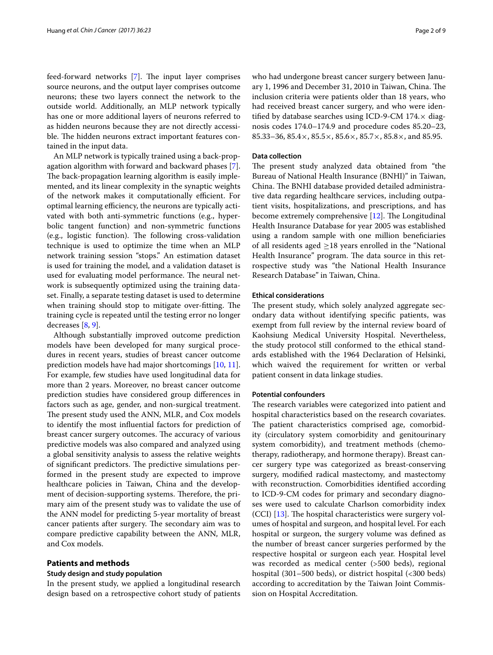feed-forward networks [\[7](#page-7-5)]. The input layer comprises source neurons, and the output layer comprises outcome neurons; these two layers connect the network to the outside world. Additionally, an MLP network typically has one or more additional layers of neurons referred to as hidden neurons because they are not directly accessible. The hidden neurons extract important features contained in the input data.

An MLP network is typically trained using a back-propagation algorithm with forward and backward phases [\[7](#page-7-5)]. The back-propagation learning algorithm is easily implemented, and its linear complexity in the synaptic weights of the network makes it computationally efficient. For optimal learning efficiency, the neurons are typically activated with both anti-symmetric functions (e.g., hyperbolic tangent function) and non-symmetric functions (e.g., logistic function). The following cross-validation technique is used to optimize the time when an MLP network training session "stops." An estimation dataset is used for training the model, and a validation dataset is used for evaluating model performance. The neural network is subsequently optimized using the training dataset. Finally, a separate testing dataset is used to determine when training should stop to mitigate over-fitting. The training cycle is repeated until the testing error no longer decreases [[8](#page-7-6), [9\]](#page-7-7).

Although substantially improved outcome prediction models have been developed for many surgical procedures in recent years, studies of breast cancer outcome prediction models have had major shortcomings [[10,](#page-7-8) [11](#page-7-9)]. For example, few studies have used longitudinal data for more than 2 years. Moreover, no breast cancer outcome prediction studies have considered group differences in factors such as age, gender, and non-surgical treatment. The present study used the ANN, MLR, and Cox models to identify the most influential factors for prediction of breast cancer surgery outcomes. The accuracy of various predictive models was also compared and analyzed using a global sensitivity analysis to assess the relative weights of significant predictors. The predictive simulations performed in the present study are expected to improve healthcare policies in Taiwan, China and the development of decision-supporting systems. Therefore, the primary aim of the present study was to validate the use of the ANN model for predicting 5-year mortality of breast cancer patients after surgery. The secondary aim was to compare predictive capability between the ANN, MLR, and Cox models.

#### **Patients and methods**

#### **Study design and study population**

In the present study, we applied a longitudinal research design based on a retrospective cohort study of patients who had undergone breast cancer surgery between January 1, 1996 and December 31, 2010 in Taiwan, China. The inclusion criteria were patients older than 18 years, who had received breast cancer surgery, and who were identified by database searches using ICD-9-CM  $174. \times$  diagnosis codes 174.0–174.9 and procedure codes 85.20–23, 85.33–36, 85.4×, 85.5×, 85.6×, 85.7×, 85.8×, and 85.95.

#### **Data collection**

The present study analyzed data obtained from "the Bureau of National Health Insurance (BNHI)" in Taiwan, China. The BNHI database provided detailed administrative data regarding healthcare services, including outpatient visits, hospitalizations, and prescriptions, and has become extremely comprehensive [[12\]](#page-7-10). The Longitudinal Health Insurance Database for year 2005 was established using a random sample with one million beneficiaries of all residents aged  $\geq$ 18 years enrolled in the "National Health Insurance" program. The data source in this retrospective study was "the National Health Insurance Research Database" in Taiwan, China.

#### **Ethical considerations**

The present study, which solely analyzed aggregate secondary data without identifying specific patients, was exempt from full review by the internal review board of Kaohsiung Medical University Hospital. Nevertheless, the study protocol still conformed to the ethical standards established with the 1964 Declaration of Helsinki, which waived the requirement for written or verbal patient consent in data linkage studies.

#### **Potential confounders**

The research variables were categorized into patient and hospital characteristics based on the research covariates. The patient characteristics comprised age, comorbidity (circulatory system comorbidity and genitourinary system comorbidity), and treatment methods (chemotherapy, radiotherapy, and hormone therapy). Breast cancer surgery type was categorized as breast-conserving surgery, modified radical mastectomy, and mastectomy with reconstruction. Comorbidities identified according to ICD-9-CM codes for primary and secondary diagnoses were used to calculate Charlson comorbidity index (CCI) [\[13\]](#page-7-11). The hospital characteristics were surgery volumes of hospital and surgeon, and hospital level. For each hospital or surgeon, the surgery volume was defined as the number of breast cancer surgeries performed by the respective hospital or surgeon each year. Hospital level was recorded as medical center (>500 beds), regional hospital (301–500 beds), or district hospital (<300 beds) according to accreditation by the Taiwan Joint Commission on Hospital Accreditation.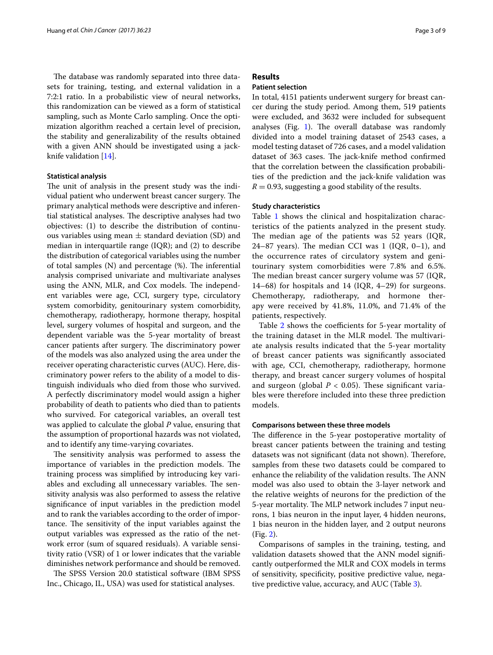The database was randomly separated into three datasets for training, testing, and external validation in a 7:2:1 ratio. In a probabilistic view of neural networks, this randomization can be viewed as a form of statistical sampling, such as Monte Carlo sampling. Once the optimization algorithm reached a certain level of precision, the stability and generalizability of the results obtained with a given ANN should be investigated using a jackknife validation [\[14](#page-7-12)].

#### **Statistical analysis**

The unit of analysis in the present study was the individual patient who underwent breast cancer surgery. The primary analytical methods were descriptive and inferential statistical analyses. The descriptive analyses had two objectives: (1) to describe the distribution of continuous variables using mean  $\pm$  standard deviation (SD) and median in interquartile range (IQR); and (2) to describe the distribution of categorical variables using the number of total samples (N) and percentage (%). The inferential analysis comprised univariate and multivariate analyses using the ANN, MLR, and Cox models. The independent variables were age, CCI, surgery type, circulatory system comorbidity, genitourinary system comorbidity, chemotherapy, radiotherapy, hormone therapy, hospital level, surgery volumes of hospital and surgeon, and the dependent variable was the 5-year mortality of breast cancer patients after surgery. The discriminatory power of the models was also analyzed using the area under the receiver operating characteristic curves (AUC). Here, discriminatory power refers to the ability of a model to distinguish individuals who died from those who survived. A perfectly discriminatory model would assign a higher probability of death to patients who died than to patients who survived. For categorical variables, an overall test was applied to calculate the global *P* value, ensuring that the assumption of proportional hazards was not violated, and to identify any time-varying covariates.

The sensitivity analysis was performed to assess the importance of variables in the prediction models. The training process was simplified by introducing key variables and excluding all unnecessary variables. The sensitivity analysis was also performed to assess the relative significance of input variables in the prediction model and to rank the variables according to the order of importance. The sensitivity of the input variables against the output variables was expressed as the ratio of the network error (sum of squared residuals). A variable sensitivity ratio (VSR) of 1 or lower indicates that the variable diminishes network performance and should be removed.

The SPSS Version 20.0 statistical software (IBM SPSS Inc., Chicago, IL, USA) was used for statistical analyses.

#### **Results**

#### **Patient selection**

In total, 4151 patients underwent surgery for breast cancer during the study period. Among them, 519 patients were excluded, and 3632 were included for subsequent analyses (Fig. [1](#page-3-0)). The overall database was randomly divided into a model training dataset of 2543 cases, a model testing dataset of 726 cases, and a model validation dataset of 363 cases. The jack-knife method confirmed that the correlation between the classification probabilities of the prediction and the jack-knife validation was  $R = 0.93$ , suggesting a good stability of the results.

#### **Study characteristics**

Table [1](#page-4-0) shows the clinical and hospitalization characteristics of the patients analyzed in the present study. The median age of the patients was 52 years (IQR, 24–87 years). The median CCI was  $1$  (IQR, 0–1), and the occurrence rates of circulatory system and genitourinary system comorbidities were 7.8% and 6.5%. The median breast cancer surgery volume was 57 (IQR, 14–68) for hospitals and 14 (IQR, 4–29) for surgeons. Chemotherapy, radiotherapy, and hormone therapy were received by 41.8%, 11.0%, and 71.4% of the patients, respectively.

Table [2](#page-5-0) shows the coefficients for 5-year mortality of the training dataset in the MLR model. The multivariate analysis results indicated that the 5-year mortality of breast cancer patients was significantly associated with age, CCI, chemotherapy, radiotherapy, hormone therapy, and breast cancer surgery volumes of hospital and surgeon (global  $P < 0.05$ ). These significant variables were therefore included into these three prediction models.

#### **Comparisons between these three models**

The difference in the 5-year postoperative mortality of breast cancer patients between the training and testing datasets was not significant (data not shown). Therefore, samples from these two datasets could be compared to enhance the reliability of the validation results. The ANN model was also used to obtain the 3-layer network and the relative weights of neurons for the prediction of the 5-year mortality. The MLP network includes 7 input neurons, 1 bias neuron in the input layer, 4 hidden neurons, 1 bias neuron in the hidden layer, and 2 output neurons (Fig. [2\)](#page-5-1).

Comparisons of samples in the training, testing, and validation datasets showed that the ANN model significantly outperformed the MLR and COX models in terms of sensitivity, specificity, positive predictive value, negative predictive value, accuracy, and AUC (Table [3](#page-7-13)).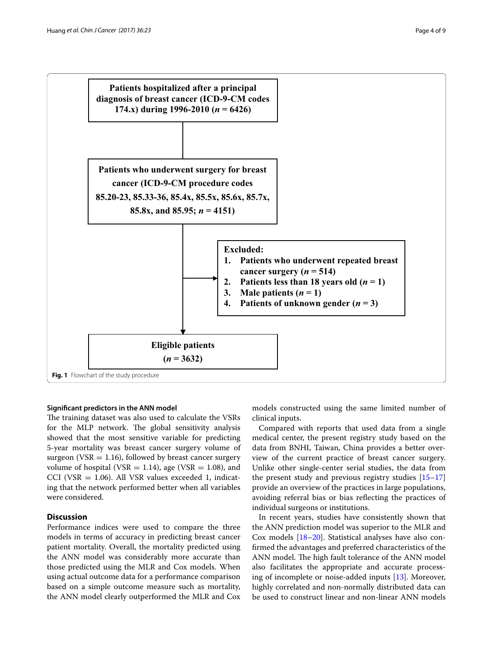

#### <span id="page-3-0"></span>**Significant predictors in the ANN model**

The training dataset was also used to calculate the VSRs for the MLP network. The global sensitivity analysis showed that the most sensitive variable for predicting 5-year mortality was breast cancer surgery volume of surgeon (VSR  $=$  1.16), followed by breast cancer surgery volume of hospital (VSR = 1.14), age (VSR = 1.08), and CCI (VSR  $=$  1.06). All VSR values exceeded 1, indicating that the network performed better when all variables were considered.

### **Discussion**

Performance indices were used to compare the three models in terms of accuracy in predicting breast cancer patient mortality. Overall, the mortality predicted using the ANN model was considerably more accurate than those predicted using the MLR and Cox models. When using actual outcome data for a performance comparison based on a simple outcome measure such as mortality, the ANN model clearly outperformed the MLR and Cox models constructed using the same limited number of clinical inputs.

Compared with reports that used data from a single medical center, the present registry study based on the data from BNHI, Taiwan, China provides a better overview of the current practice of breast cancer surgery. Unlike other single-center serial studies, the data from the present study and previous registry studies  $[15-17]$  $[15-17]$  $[15-17]$ provide an overview of the practices in large populations, avoiding referral bias or bias reflecting the practices of individual surgeons or institutions.

In recent years, studies have consistently shown that the ANN prediction model was superior to the MLR and Cox models [[18](#page-8-2)[–20](#page-8-3)]. Statistical analyses have also confirmed the advantages and preferred characteristics of the ANN model. The high fault tolerance of the ANN model also facilitates the appropriate and accurate processing of incomplete or noise-added inputs [\[13](#page-7-11)]. Moreover, highly correlated and non-normally distributed data can be used to construct linear and non-linear ANN models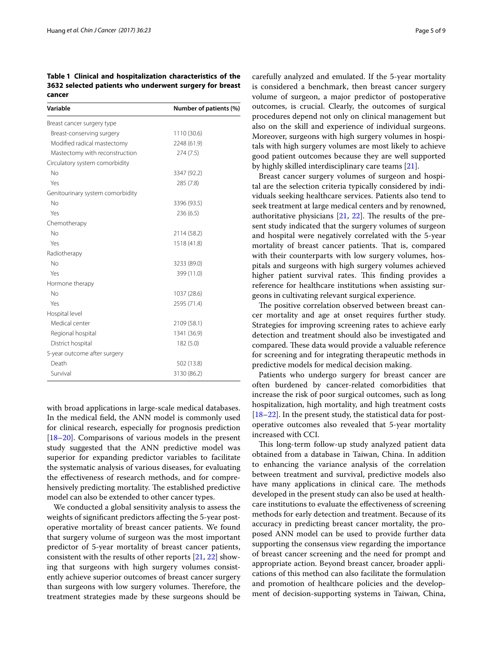<span id="page-4-0"></span>**Table 1 Clinical and hospitalization characteristics of the 3632 selected patients who underwent surgery for breast cancer**

| Variable                         | Number of patients (%) |  |  |
|----------------------------------|------------------------|--|--|
| Breast cancer surgery type       |                        |  |  |
| Breast-conserving surgery        | 1110 (30.6)            |  |  |
| Modified radical mastectomy      | 2248 (61.9)            |  |  |
| Mastectomy with reconstruction   | 274(7.5)               |  |  |
| Circulatory system comorbidity   |                        |  |  |
| No                               | 3347 (92.2)            |  |  |
| Yes                              | 285 (7.8)              |  |  |
| Genitourinary system comorbidity |                        |  |  |
| <b>No</b>                        | 3396 (93.5)            |  |  |
| Yes                              | 236 (6.5)              |  |  |
| Chemotherapy                     |                        |  |  |
| No                               | 2114 (58.2)            |  |  |
| Yes                              | 1518 (41.8)            |  |  |
| Radiotherapy                     |                        |  |  |
| No                               | 3233 (89.0)            |  |  |
| Yes                              | 399 (11.0)             |  |  |
| Hormone therapy                  |                        |  |  |
| No                               | 1037 (28.6)            |  |  |
| Yes                              | 2595 (71.4)            |  |  |
| Hospital level                   |                        |  |  |
| Medical center                   | 2109 (58.1)            |  |  |
| Regional hospital                | 1341 (36.9)            |  |  |
| District hospital                | 182(5.0)               |  |  |
| 5-year outcome after surgery     |                        |  |  |
| Death                            | 502 (13.8)             |  |  |
| Survival                         | 3130 (86.2)            |  |  |

with broad applications in large-scale medical databases. In the medical field, the ANN model is commonly used for clinical research, especially for prognosis prediction [[18–](#page-8-2)[20](#page-8-3)]. Comparisons of various models in the present study suggested that the ANN predictive model was superior for expanding predictor variables to facilitate the systematic analysis of various diseases, for evaluating the effectiveness of research methods, and for comprehensively predicting mortality. The established predictive model can also be extended to other cancer types.

We conducted a global sensitivity analysis to assess the weights of significant predictors affecting the 5-year postoperative mortality of breast cancer patients. We found that surgery volume of surgeon was the most important predictor of 5-year mortality of breast cancer patients, consistent with the results of other reports [[21,](#page-8-4) [22](#page-8-5)] showing that surgeons with high surgery volumes consistently achieve superior outcomes of breast cancer surgery than surgeons with low surgery volumes. Therefore, the treatment strategies made by these surgeons should be carefully analyzed and emulated. If the 5-year mortality is considered a benchmark, then breast cancer surgery volume of surgeon, a major predictor of postoperative outcomes, is crucial. Clearly, the outcomes of surgical procedures depend not only on clinical management but also on the skill and experience of individual surgeons. Moreover, surgeons with high surgery volumes in hospitals with high surgery volumes are most likely to achieve good patient outcomes because they are well supported by highly skilled interdisciplinary care teams [\[21](#page-8-4)].

Breast cancer surgery volumes of surgeon and hospital are the selection criteria typically considered by individuals seeking healthcare services. Patients also tend to seek treatment at large medical centers and by renowned, authoritative physicians [[21,](#page-8-4) [22](#page-8-5)]. The results of the present study indicated that the surgery volumes of surgeon and hospital were negatively correlated with the 5-year mortality of breast cancer patients. That is, compared with their counterparts with low surgery volumes, hospitals and surgeons with high surgery volumes achieved higher patient survival rates. This finding provides a reference for healthcare institutions when assisting surgeons in cultivating relevant surgical experience.

The positive correlation observed between breast cancer mortality and age at onset requires further study. Strategies for improving screening rates to achieve early detection and treatment should also be investigated and compared. These data would provide a valuable reference for screening and for integrating therapeutic methods in predictive models for medical decision making.

Patients who undergo surgery for breast cancer are often burdened by cancer-related comorbidities that increase the risk of poor surgical outcomes, such as long hospitalization, high mortality, and high treatment costs [[18–](#page-8-2)[22\]](#page-8-5). In the present study, the statistical data for postoperative outcomes also revealed that 5-year mortality increased with CCI.

This long-term follow-up study analyzed patient data obtained from a database in Taiwan, China. In addition to enhancing the variance analysis of the correlation between treatment and survival, predictive models also have many applications in clinical care. The methods developed in the present study can also be used at healthcare institutions to evaluate the effectiveness of screening methods for early detection and treatment. Because of its accuracy in predicting breast cancer mortality, the proposed ANN model can be used to provide further data supporting the consensus view regarding the importance of breast cancer screening and the need for prompt and appropriate action. Beyond breast cancer, broader applications of this method can also facilitate the formulation and promotion of healthcare policies and the development of decision-supporting systems in Taiwan, China,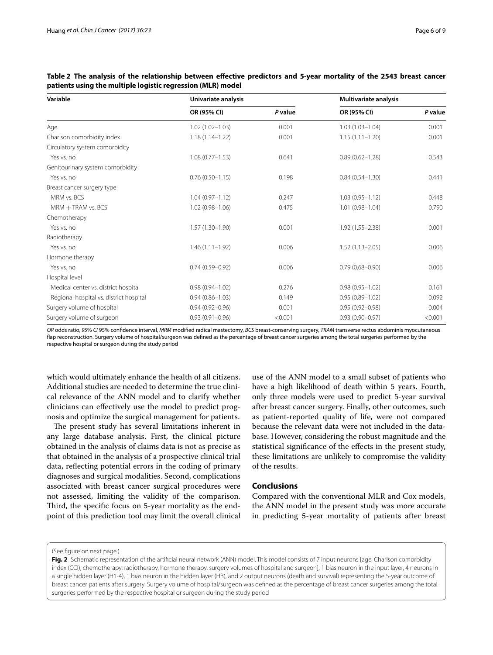| Variable                                | Univariate analysis |         | Multivariate analysis |         |  |
|-----------------------------------------|---------------------|---------|-----------------------|---------|--|
|                                         | OR (95% CI)         | P value | OR (95% CI)           | P value |  |
| Age                                     | $1.02(1.02 - 1.03)$ | 0.001   | $1.03(1.03 - 1.04)$   | 0.001   |  |
| Charlson comorbidity index              | $1.18(1.14 - 1.22)$ | 0.001   | $1.15(1.11 - 1.20)$   | 0.001   |  |
| Circulatory system comorbidity          |                     |         |                       |         |  |
| Yes vs. no                              | $1.08(0.77 - 1.53)$ | 0.641   | $0.89(0.62 - 1.28)$   | 0.543   |  |
| Genitourinary system comorbidity        |                     |         |                       |         |  |
| Yes vs. no                              | $0.76(0.50 - 1.15)$ | 0.198   | $0.84(0.54 - 1.30)$   | 0.441   |  |
| Breast cancer surgery type              |                     |         |                       |         |  |
| MRM vs. BCS                             | $1.04(0.97 - 1.12)$ | 0.247   | $1.03(0.95 - 1.12)$   | 0.448   |  |
| $MRM + TRAM vs. BCS$                    | $1.02(0.98 - 1.06)$ | 0.475   | $1.01(0.98 - 1.04)$   | 0.790   |  |
| Chemotherapy                            |                     |         |                       |         |  |
| Yes vs. no                              | $1.57(1.30 - 1.90)$ | 0.001   | 1.92 (1.55-2.38)      | 0.001   |  |
| Radiotherapy                            |                     |         |                       |         |  |
| Yes vs. no                              | $1.46(1.11 - 1.92)$ | 0.006   | $1.52(1.13 - 2.05)$   | 0.006   |  |
| Hormone therapy                         |                     |         |                       |         |  |
| Yes vs. no                              | $0.74(0.59 - 0.92)$ | 0.006   | $0.79(0.68 - 0.90)$   | 0.006   |  |
| Hospital level                          |                     |         |                       |         |  |
| Medical center vs. district hospital    | $0.98(0.94 - 1.02)$ | 0.276   | $0.98(0.95 - 1.02)$   | 0.161   |  |
| Regional hospital vs. district hospital | $0.94(0.86 - 1.03)$ | 0.149   | $0.95(0.89 - 1.02)$   | 0.092   |  |
| Surgery volume of hospital              | $0.94(0.92 - 0.96)$ | 0.001   | $0.95(0.92 - 0.98)$   | 0.004   |  |
| Surgery volume of surgeon               | $0.93(0.91 - 0.96)$ | < 0.001 | $0.93(0.90 - 0.97)$   | < 0.001 |  |

<span id="page-5-0"></span>**Table 2 The analysis of the relationship between effective predictors and 5-year mortality of the 2543 breast cancer patients using the multiple logistic regression (MLR) model**

*OR* odds ratio, *95*% *CI* 95% confidence interval, *MRM* modified radical mastectomy, *BCS* breast-conserving surgery, *TRAM* transverse rectus abdominis myocutaneous flap reconstruction. Surgery volume of hospital/surgeon was defined as the percentage of breast cancer surgeries among the total surgeries performed by the respective hospital or surgeon during the study period

which would ultimately enhance the health of all citizens. Additional studies are needed to determine the true clinical relevance of the ANN model and to clarify whether clinicians can effectively use the model to predict prognosis and optimize the surgical management for patients.

The present study has several limitations inherent in any large database analysis. First, the clinical picture obtained in the analysis of claims data is not as precise as that obtained in the analysis of a prospective clinical trial data, reflecting potential errors in the coding of primary diagnoses and surgical modalities. Second, complications associated with breast cancer surgical procedures were not assessed, limiting the validity of the comparison. Third, the specific focus on 5-year mortality as the endpoint of this prediction tool may limit the overall clinical

use of the ANN model to a small subset of patients who have a high likelihood of death within 5 years. Fourth, only three models were used to predict 5-year survival after breast cancer surgery. Finally, other outcomes, such as patient-reported quality of life, were not compared because the relevant data were not included in the database. However, considering the robust magnitude and the statistical significance of the effects in the present study, these limitations are unlikely to compromise the validity of the results.

#### **Conclusions**

Compared with the conventional MLR and Cox models, the ANN model in the present study was more accurate in predicting 5-year mortality of patients after breast

<span id="page-5-1"></span>(See figure on next page.)

Fig. 2 Schematic representation of the artificial neural network (ANN) model. This model consists of 7 input neurons [age, Charlson comorbidity index (CCI), chemotherapy, radiotherapy, hormone therapy, surgery volumes of hospital and surgeon], 1 bias neuron in the input layer, 4 neurons in a single hidden layer (H1-4), 1 bias neuron in the hidden layer (HB), and 2 output neurons (death and survival) representing the 5-year outcome of breast cancer patients after surgery. Surgery volume of hospital/surgeon was defined as the percentage of breast cancer surgeries among the total surgeries performed by the respective hospital or surgeon during the study period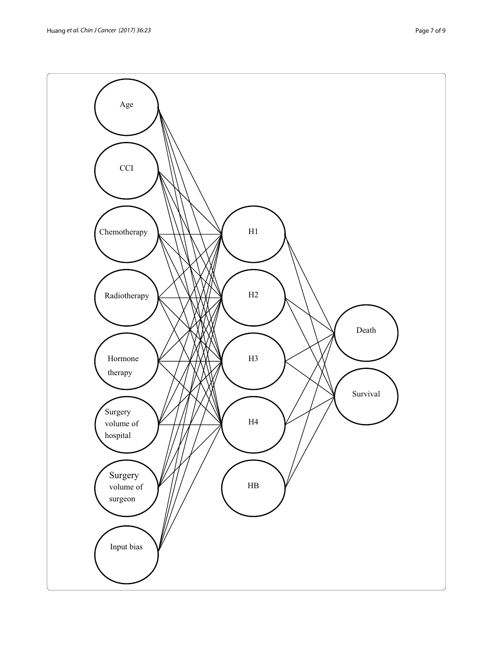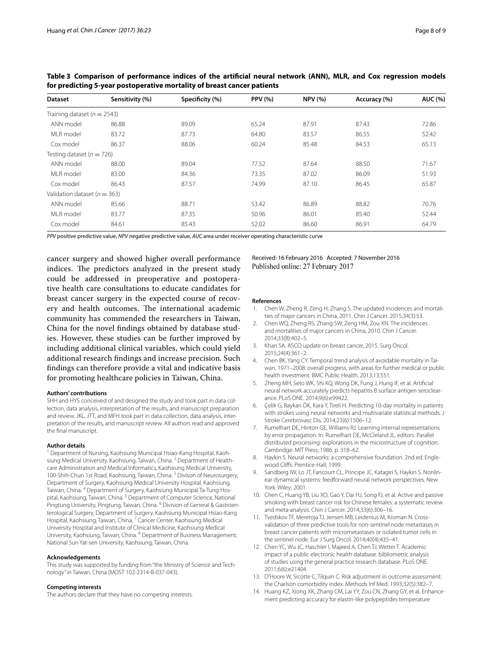| <b>Dataset</b>                   | Sensitivity (%) | Specificity (%) | <b>PPV</b> (%) | <b>NPV (%)</b> | Accuracy (%) | <b>AUC (%)</b> |
|----------------------------------|-----------------|-----------------|----------------|----------------|--------------|----------------|
| Training dataset ( $n = 2543$ )  |                 |                 |                |                |              |                |
| ANN model                        | 86.88           | 89.09           | 65.24          | 87.91          | 87.43        | 72.86          |
| MLR model                        | 83.72           | 87.73           | 64.80          | 83.57          | 86.55        | 52.42          |
| Cox model                        | 86.37           | 88.06           | 60.24          | 85.48          | 84.53        | 65.13          |
| Testing dataset ( $n = 726$ )    |                 |                 |                |                |              |                |
| ANN model                        | 88.00           | 89.04           | 77.52          | 87.64          | 88.50        | 71.67          |
| MLR model                        | 83.00           | 84.36           | 73.35          | 87.02          | 86.09        | 51.93          |
| Cox model                        | 86.43           | 87.57           | 74.99          | 87.10          | 86.45        | 65.87          |
| Validation dataset ( $n = 363$ ) |                 |                 |                |                |              |                |
| ANN model                        | 85.66           | 88.71           | 53.42          | 86.89          | 88.82        | 70.76          |
| MLR model                        | 83.77           | 87.35           | 50.96          | 86.01          | 85.40        | 52.44          |
| Cox model                        | 84.61           | 85.43           | 52.02          | 86.60          | 86.91        | 64.79          |

<span id="page-7-13"></span>**Table 3 Comparison of performance indices of the artificial neural network (ANN), MLR, and Cox regression models for predicting 5-year postoperative mortality of breast cancer patients**

*PPV* positive predictive value, *NPV* negative predictive value, *AUC* area under receiver operating characteristic curve

cancer surgery and showed higher overall performance indices. The predictors analyzed in the present study could be addressed in preoperative and postoperative health care consultations to educate candidates for breast cancer surgery in the expected course of recovery and health outcomes. The international academic community has commended the researchers in Taiwan, China for the novel findings obtained by database studies. However, these studies can be further improved by including additional clinical variables, which could yield additional research findings and increase precision. Such findings can therefore provide a vital and indicative basis for promoting healthcare policies in Taiwan, China.

#### **Authors' contributions**

SHH and HYS conceived of and designed the study and took part in data collection, data analysis, interpretation of the results, and manuscript preparation and review. JKL, JTT, and MFH took part in data collection, data analysis, interpretation of the results, and manuscript review. All authors read and approved the final manuscript.

#### **Author details**

<sup>1</sup> Department of Nursing, Kaohsiung Municipal Hsiao-Kang Hospital, Kaohsiung Medical University, Kaohsiung, Taiwan, China. <sup>2</sup> Department of Healthcare Administration and Medical Informatics, Kaohsiung Medical University, 100-Shih-Chun 1st Road, Kaohsiung, Taiwan, China. <sup>3</sup> Divison of Neurosurgery, Department of Surgery, Kaohsiung Medical University Hospital, Kaohsiung, Taiwan, China. <sup>4</sup> Department of Surgery, Kaohsiung Municipal Ta-Tung Hospital, Kaohsiung, Taiwan, China. 5 Department of Computer Science, National Pingtung University, Pingtung, Taiwan, China. <sup>6</sup> Division of General & Gastroenterological Surgery, Department of Surgery, Kaohsiung Municipal Hsiao-Kang Hospital, Kaohsiung, Taiwan, China. 7 Cancer Center, Kaohsiung Medical University Hospital and Institute of Clinical Medicine, Kaohsiung Medical University, Kaohsiung, Taiwan, China. 8 Department of Business Management, National Sun Yat-sen University, Kaohsiung, Taiwan, China.

#### **Acknowledgements**

This study was supported by funding from "the Ministry of Science and Technology" in Taiwan, China (MOST 102-2314-B-037-043).

#### **Competing interests**

The authors declare that they have no competing interests.

Received: 16 February 2016 Accepted: 7 November 2016 Published online: 27 February 2017

#### **References**

- <span id="page-7-0"></span>1. Chen W, Zheng R, Zeng H, Zhang S. The updated incidences and mortalities of major cancers in China, 2011. Chin J Cancer. 2015;34(3):53.
- 2. Chen WQ, Zheng RS, Zhang SW, Zeng HM, Zou XN. The incidences and mortalities of major cancers in China, 2010. Chin J Cancer. 2014;33(8):402–5.
- <span id="page-7-1"></span>3. Khan SA. ASCO update on breast cancer, 2015. Surg Oncol. 2015;24(4):361–2.
- <span id="page-7-2"></span>4. Chen BK, Yang CY. Temporal trend analysis of avoidable mortality in Taiwan, 1971–2008: overall progress, with areas for further medical or public health investment. BMC Public Health. 2013;13:551.
- <span id="page-7-3"></span>5. Zheng MH, Seto WK, Shi KQ, Wong DK, Fung J, Hung IF, et al. Artificial neural network accurately predicts hepatitis B surface antigen seroclearance. PLoS ONE. 2014;9(6):e99422.
- <span id="page-7-4"></span>6. Çelik G, Baykan ÖK, Kara Y, Tireli H. Predicting 10-day mortality in patients with strokes using neural networks and multivariate statistical methods. J Stroke Cerebrovasc Dis. 2014;23(6):1506–12.
- <span id="page-7-5"></span>Rumelhart DE, Hinton GE, Williams RJ. Learning internal representations by error propagation. In: Rumelhart DE, McCleland JL, editors. Parallel distributed processing: explorations in the microstructure of cognition. Cambridge: MIT Press; 1986. p. 318–62.
- <span id="page-7-6"></span>8. Haykin S. Neural networks: a comprehensive foundation. 2nd ed. Englewood Cliffs: Prentice-Hall; 1999.
- <span id="page-7-7"></span>9. Sandberg IW, Lo JT, Fancourt CL, Principe JC, Katagiri S, Haykin S. Nonlinear dynamical systems: feedforward neural network perspectives. New York: Wiley; 2001.
- <span id="page-7-8"></span>10. Chen C, Huang YB, Liu XO, Gao Y, Dai HJ, Song FJ, et al. Active and passive smoking with breast cancer risk for Chinese females: a systematic review and meta-analysis. Chin J Cancer. 2014;33(6):306–16.
- <span id="page-7-9"></span>11. Tvedskov TF, Meretoja TJ, Jensen MB, Leidenius M, Kroman N. Crossvalidation of three predictive tools for non-sentinel node metastases in breast cancer patients with micrometastases or isolated tumor cells in the sentinel node. Eur J Surg Oncol. 2014;40(4):435–41.
- <span id="page-7-10"></span>12. Chen YC, Wu JC, Haschler I, Majeed A, Chen TJ, Wetter T. Academic impact of a public electronic health database: bibliometric analysis of studies using the general practice research database. PLoS ONE. 2011;6(6):e21404.
- <span id="page-7-11"></span>13. D'Hoore W, Sicotte C, Tilquin C. Risk adjustment in outcome assessment: the Charlson comorbidity index. Methods Inf Med. 1993;32(5):382–7.
- <span id="page-7-12"></span>14. Huang KZ, Xiong XK, Zhang CM, Lai YY, Zou CN, Zhang GY, et al. Enhancement predicting accuracy for elastin-like polypeptides temperature